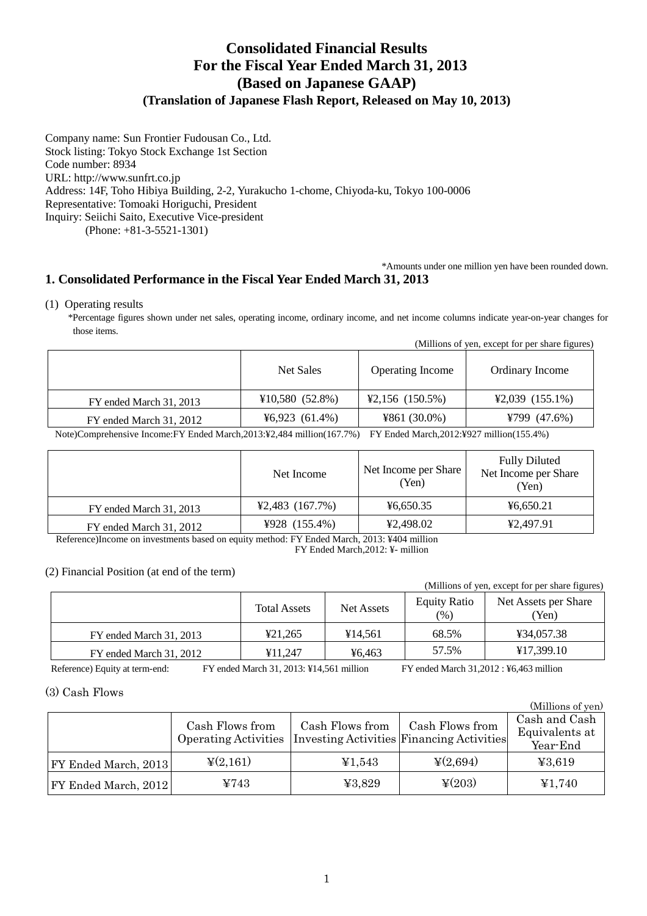# **Consolidated Financial Results For the Fiscal Year Ended March 31, 2013 (Based on Japanese GAAP) (Translation of Japanese Flash Report, Released on May 10, 2013)**

Company name: Sun Frontier Fudousan Co., Ltd. Stock listing: Tokyo Stock Exchange 1st Section Code number: 8934 URL: http://www.sunfrt.co.jp Address: 14F, Toho Hibiya Building, 2-2, Yurakucho 1-chome, Chiyoda-ku, Tokyo 100-0006 Representative: Tomoaki Horiguchi, President Inquiry: Seiichi Saito, Executive Vice-president (Phone: +81-3-5521-1301)

## \*Amounts under one million yen have been rounded down. **1. Consolidated Performance in the Fiscal Year Ended March 31, 2013**

## (1) Operating results

\*Percentage figures shown under net sales, operating income, ordinary income, and net income columns indicate year-on-year changes for those items.

| (Millions of yen, except for per share figures) |
|-------------------------------------------------|
|-------------------------------------------------|

|                         | Net Sales      | <b>Operating Income</b>              | Ordinary Income                      |
|-------------------------|----------------|--------------------------------------|--------------------------------------|
| FY ended March 31, 2013 | ¥10,580(52.8%) | $\text{\textsterling}2,156$ (150.5%) | $\text{\textsterling}2,039$ (155.1%) |
| FY ended March 31, 2012 | 46,923(61.4%)  | ¥861 $(30.0\%)$                      | ¥799 $(47.6%)$                       |

Note)Comprehensive Income:FY Ended March,2013:¥2,484 million(167.7%) FY Ended March,2012:¥927 million(155.4%)

|                         | Net Income                           | Net Income per Share<br>(Yen) | <b>Fully Diluted</b><br>Net Income per Share<br>(Yen) |
|-------------------------|--------------------------------------|-------------------------------|-------------------------------------------------------|
| FY ended March 31, 2013 | $\text{\textsterling}2,483$ (167.7%) | ¥6,650.35                     | 46,650.21                                             |
| FY ended March 31, 2012 | ¥928 $(155.4\%)$                     | ¥2,498.02                     | ¥2.497.91                                             |

 Reference)Income on investments based on equity method: FY Ended March, 2013: ¥404 million FY Ended March,2012: ¥- million

## (2) Financial Position (at end of the term)

|                         |                     |                   |                            | (Millions of yen, except for per share figures) |
|-------------------------|---------------------|-------------------|----------------------------|-------------------------------------------------|
|                         | <b>Total Assets</b> | <b>Net Assets</b> | <b>Equity Ratio</b><br>(%) | Net Assets per Share<br>(Yen)                   |
| FY ended March 31, 2013 | ¥21.265             | ¥14.561           | 68.5%                      | ¥34,057.38                                      |
| FY ended March 31, 2012 | ¥11.247             | ¥6.463            | 57.5%                      | ¥17,399.10                                      |

Reference) Equity at term-end: FY ended March 31, 2013: ¥14,561 million FY ended March 31,2012 : ¥6,463 million

 $(M^{\text{eff}})$  of  $\mathcal{O}$ 

## (3) Cash Flows

|                      |                                                |                 |                                                              | <i>(VALITHOLIS OL VEIL)</i>                 |
|----------------------|------------------------------------------------|-----------------|--------------------------------------------------------------|---------------------------------------------|
|                      | Cash Flows from<br><b>Operating Activities</b> | Cash Flows from | Cash Flows from<br>Investing Activities Financing Activities | Cash and Cash<br>Equivalents at<br>Year-End |
| FY Ended March, 2013 | $\frac{1}{2}(2,161)$                           | ¥1,543          | $\frac{1}{2}(2,694)$                                         | 43,619                                      |
| FY Ended March, 2012 | ¥743                                           | ¥3,829          | $\frac{1}{2}(203)$                                           | ¥1,740                                      |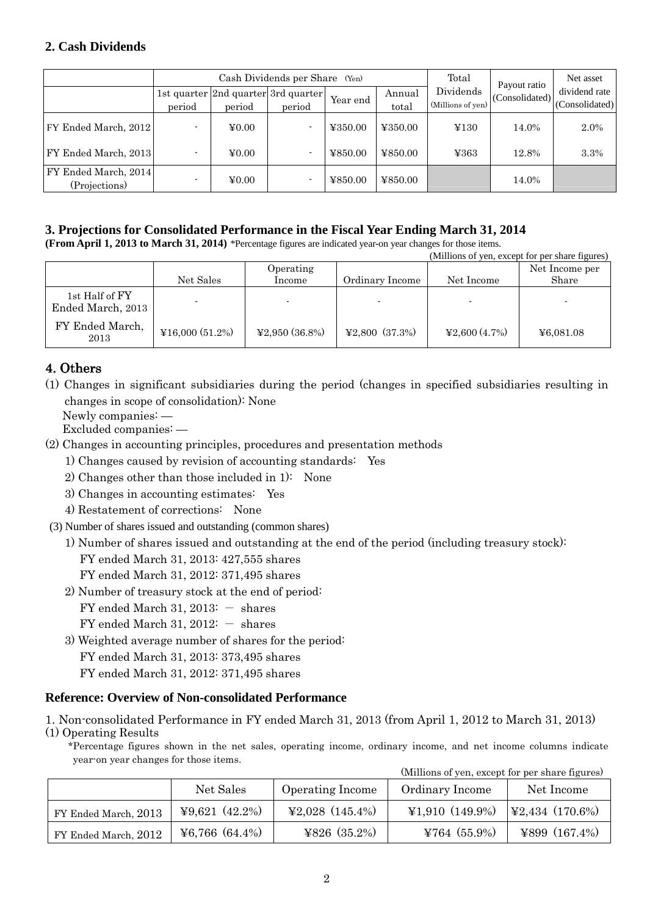## **2. Cash Dividends**

|                                       |        | Cash Dividends per Share (Yen) |                                               |          |                 |                                | Payout ratio   | Net asset                       |
|---------------------------------------|--------|--------------------------------|-----------------------------------------------|----------|-----------------|--------------------------------|----------------|---------------------------------|
|                                       | period | period                         | 1st quarter 2nd quarter 3rd quarter<br>period | Year end | Annual<br>total | Dividends<br>(Millions of yen) | (Consolidated) | dividend rate<br>(Consolidated) |
| FY Ended March, 2012                  |        | $\yen 0.00$                    |                                               | ¥350.00  | ¥350.00         | ¥130                           | 14.0%          | 2.0%                            |
| FY Ended March, 2013                  |        | $\yen 0.00$                    |                                               | ¥850.00  | ¥850.00         | ¥363                           | 12.8%          | 3.3%                            |
| FY Ended March, 2014<br>(Projections) |        | $\yen 0.00$                    |                                               | ¥850.00  | ¥850.00         |                                | 14.0%          |                                 |

## **3. Projections for Consolidated Performance in the Fiscal Year Ending March 31, 2014**

**(From April 1, 2013 to March 31, 2014)** \*Percentage figures are indicated year-on year changes for those items.

|                                     |                    |                   |                                               |                                    | (Millions of yen, except for per share figures) |
|-------------------------------------|--------------------|-------------------|-----------------------------------------------|------------------------------------|-------------------------------------------------|
|                                     |                    | Operating         |                                               |                                    | Net Income per                                  |
|                                     | Net Sales          | Income            | Ordinary Income                               | Net Income                         | Share                                           |
| 1st Half of FY<br>Ended March, 2013 |                    |                   |                                               |                                    |                                                 |
| FY Ended March,<br>2013             | ¥16,000 $(51.2\%)$ | ¥2,950 $(36.8\%)$ | $\textcolor{blue}{\textbf{42.800}}\ (37.3\%)$ | $\textcolor{blue}{\textbf{4.7\%}}$ | ¥6,081.08                                       |

## 4. Others

- (1) Changes in significant subsidiaries during the period (changes in specified subsidiaries resulting in changes in scope of consolidation): None
	- Newly companies: —
	- Excluded companies: —
- (2) Changes in accounting principles, procedures and presentation methods
	- 1) Changes caused by revision of accounting standards: Yes
	- 2) Changes other than those included in 1): None
	- 3) Changes in accounting estimates: Yes
	- 4) Restatement of corrections: None
- (3) Number of shares issued and outstanding (common shares)
	- 1) Number of shares issued and outstanding at the end of the period (including treasury stock):
		- FY ended March 31, 2013: 427,555 shares
		- FY ended March 31, 2012: 371,495 shares
	- 2) Number of treasury stock at the end of period:
		- FY ended March 31, 2013:  $-$  shares
		- FY ended March 31,  $2012: -$  shares
	- 3) Weighted average number of shares for the period:
		- FY ended March 31, 2013: 373,495 shares
		- FY ended March 31, 2012: 371,495 shares

## **Reference: Overview of Non-consolidated Performance**

- 1. Non-consolidated Performance in FY ended March 31, 2013 (from April 1, 2012 to March 31, 2013)
- (1) Operating Results

\*Percentage figures shown in the net sales, operating income, ordinary income, and net income columns indicate year-on year changes for those items.

| (Millions of yen, except for per share figures) |  |  |  |  |  |
|-------------------------------------------------|--|--|--|--|--|
|-------------------------------------------------|--|--|--|--|--|

|                      | Net Sales           | <b>Operating Income</b> | Ordinary Income                      | Net Income              |
|----------------------|---------------------|-------------------------|--------------------------------------|-------------------------|
| FY Ended March, 2013 | $49,621$ $(42.2\%)$ | ¥2,028 $(145.4\%)$      | $\text{\textsterling}1,910$ (149.9%) | $\vert$ ¥2,434 (170.6%) |
| FY Ended March, 2012 | ¥6,766(64.4%)       | ¥826 $(35.2\%)$         | ¥764 $(55.9\%)$                      | ¥899 $(167.4%)$         |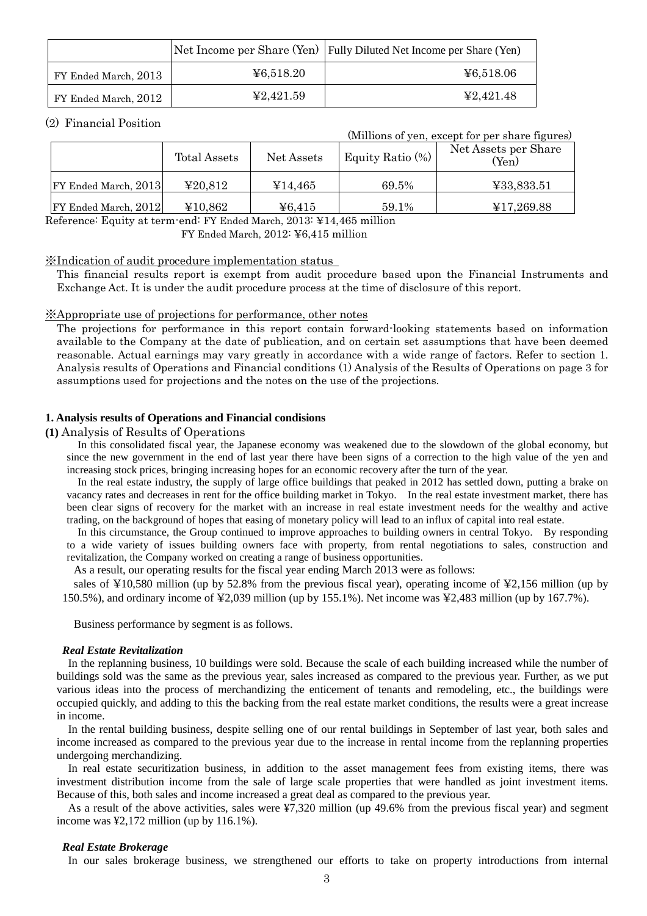|                      |           | Net Income per Share (Yen) Fully Diluted Net Income per Share (Yen) |
|----------------------|-----------|---------------------------------------------------------------------|
| FY Ended March, 2013 | 46,518.20 | ¥6,518.06                                                           |
| FY Ended March, 2012 | 42,421.59 | 42.421.48                                                           |

## (2) Financial Position

|                      | (Millions of yen, except for per share figures) |            |                     |                               |
|----------------------|-------------------------------------------------|------------|---------------------|-------------------------------|
|                      | Total Assets                                    | Net Assets | Equity Ratio $(\%)$ | Net Assets per Share<br>(Yen) |
| FY Ended March, 2013 | 420,812                                         | ¥14,465    | 69.5%               | ¥33,833.51                    |
| FY Ended March, 2012 | ¥10,862                                         | 46,415     | 59.1%               | ¥17,269.88                    |

Reference: Equity at term-end: FY Ended March, 2013: ¥14,465 million

FY Ended March, 2012: ¥6,415 million

## ※Indication of audit procedure implementation status

This financial results report is exempt from audit procedure based upon the Financial Instruments and Exchange Act. It is under the audit procedure process at the time of disclosure of this report.

## ※Appropriate use of projections for performance, other notes

The projections for performance in this report contain forward-looking statements based on information available to the Company at the date of publication, and on certain set assumptions that have been deemed reasonable. Actual earnings may vary greatly in accordance with a wide range of factors. Refer to section 1. Analysis results of Operations and Financial conditions (1) Analysis of the Results of Operations on page 3 for assumptions used for projections and the notes on the use of the projections.

### **1. Analysis results of Operations and Financial condisions**

## **(1)** Analysis of Results of Operations

In this consolidated fiscal year, the Japanese economy was weakened due to the slowdown of the global economy, but since the new government in the end of last year there have been signs of a correction to the high value of the yen and increasing stock prices, bringing increasing hopes for an economic recovery after the turn of the year.

In the real estate industry, the supply of large office buildings that peaked in 2012 has settled down, putting a brake on vacancy rates and decreases in rent for the office building market in Tokyo. In the real estate investment market, there has been clear signs of recovery for the market with an increase in real estate investment needs for the wealthy and active trading, on the background of hopes that easing of monetary policy will lead to an influx of capital into real estate.

In this circumstance, the Group continued to improve approaches to building owners in central Tokyo. By responding to a wide variety of issues building owners face with property, from rental negotiations to sales, construction and revitalization, the Company worked on creating a range of business opportunities.

As a result, our operating results for the fiscal year ending March 2013 were as follows:

sales of ¥10,580 million (up by 52.8% from the previous fiscal year), operating income of ¥2,156 million (up by 150.5%), and ordinary income of ¥2,039 million (up by 155.1%). Net income was ¥2,483 million (up by 167.7%).

Business performance by segment is as follows.

### *Real Estate Revitalization*

In the replanning business, 10 buildings were sold. Because the scale of each building increased while the number of buildings sold was the same as the previous year, sales increased as compared to the previous year. Further, as we put various ideas into the process of merchandizing the enticement of tenants and remodeling, etc., the buildings were occupied quickly, and adding to this the backing from the real estate market conditions, the results were a great increase in income.

In the rental building business, despite selling one of our rental buildings in September of last year, both sales and income increased as compared to the previous year due to the increase in rental income from the replanning properties undergoing merchandizing.

In real estate securitization business, in addition to the asset management fees from existing items, there was investment distribution income from the sale of large scale properties that were handled as joint investment items. Because of this, both sales and income increased a great deal as compared to the previous year.

As a result of the above activities, sales were ¥7,320 million (up 49.6% from the previous fiscal year) and segment income was ¥2,172 million (up by 116.1%).

#### *Real Estate Brokerage*

In our sales brokerage business, we strengthened our efforts to take on property introductions from internal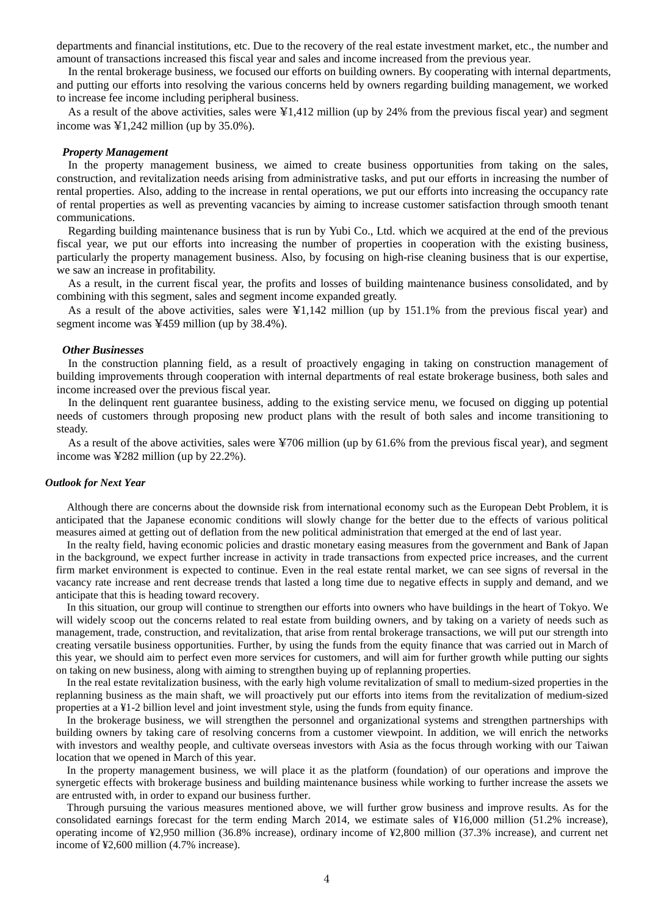departments and financial institutions, etc. Due to the recovery of the real estate investment market, etc., the number and amount of transactions increased this fiscal year and sales and income increased from the previous year.

In the rental brokerage business, we focused our efforts on building owners. By cooperating with internal departments, and putting our efforts into resolving the various concerns held by owners regarding building management, we worked to increase fee income including peripheral business.

As a result of the above activities, sales were  $\frac{1}{4}1,412$  million (up by 24% from the previous fiscal year) and segment income was  $\text{\textsterling}1,242$  million (up by 35.0%).

#### *Property Management*

In the property management business, we aimed to create business opportunities from taking on the sales, construction, and revitalization needs arising from administrative tasks, and put our efforts in increasing the number of rental properties. Also, adding to the increase in rental operations, we put our efforts into increasing the occupancy rate of rental properties as well as preventing vacancies by aiming to increase customer satisfaction through smooth tenant communications.

Regarding building maintenance business that is run by Yubi Co., Ltd. which we acquired at the end of the previous fiscal year, we put our efforts into increasing the number of properties in cooperation with the existing business, particularly the property management business. Also, by focusing on high-rise cleaning business that is our expertise, we saw an increase in profitability.

As a result, in the current fiscal year, the profits and losses of building maintenance business consolidated, and by combining with this segment, sales and segment income expanded greatly.

As a result of the above activities, sales were ¥1,142 million (up by 151.1% from the previous fiscal year) and segment income was ¥459 million (up by 38.4%).

#### *Other Businesses*

In the construction planning field, as a result of proactively engaging in taking on construction management of building improvements through cooperation with internal departments of real estate brokerage business, both sales and income increased over the previous fiscal year.

In the delinquent rent guarantee business, adding to the existing service menu, we focused on digging up potential needs of customers through proposing new product plans with the result of both sales and income transitioning to steady.

As a result of the above activities, sales were ¥706 million (up by 61.6% from the previous fiscal year), and segment income was ¥282 million (up by 22.2%).

### *Outlook for Next Year*

Although there are concerns about the downside risk from international economy such as the European Debt Problem, it is anticipated that the Japanese economic conditions will slowly change for the better due to the effects of various political measures aimed at getting out of deflation from the new political administration that emerged at the end of last year.

In the realty field, having economic policies and drastic monetary easing measures from the government and Bank of Japan in the background, we expect further increase in activity in trade transactions from expected price increases, and the current firm market environment is expected to continue. Even in the real estate rental market, we can see signs of reversal in the vacancy rate increase and rent decrease trends that lasted a long time due to negative effects in supply and demand, and we anticipate that this is heading toward recovery.

In this situation, our group will continue to strengthen our efforts into owners who have buildings in the heart of Tokyo. We will widely scoop out the concerns related to real estate from building owners, and by taking on a variety of needs such as management, trade, construction, and revitalization, that arise from rental brokerage transactions, we will put our strength into creating versatile business opportunities. Further, by using the funds from the equity finance that was carried out in March of this year, we should aim to perfect even more services for customers, and will aim for further growth while putting our sights on taking on new business, along with aiming to strengthen buying up of replanning properties.

In the real estate revitalization business, with the early high volume revitalization of small to medium-sized properties in the replanning business as the main shaft, we will proactively put our efforts into items from the revitalization of medium-sized properties at a ¥1-2 billion level and joint investment style, using the funds from equity finance.

In the brokerage business, we will strengthen the personnel and organizational systems and strengthen partnerships with building owners by taking care of resolving concerns from a customer viewpoint. In addition, we will enrich the networks with investors and wealthy people, and cultivate overseas investors with Asia as the focus through working with our Taiwan location that we opened in March of this year.

In the property management business, we will place it as the platform (foundation) of our operations and improve the synergetic effects with brokerage business and building maintenance business while working to further increase the assets we are entrusted with, in order to expand our business further.

Through pursuing the various measures mentioned above, we will further grow business and improve results. As for the consolidated earnings forecast for the term ending March 2014, we estimate sales of ¥16,000 million (51.2% increase), operating income of ¥2,950 million (36.8% increase), ordinary income of ¥2,800 million (37.3% increase), and current net income of ¥2,600 million (4.7% increase).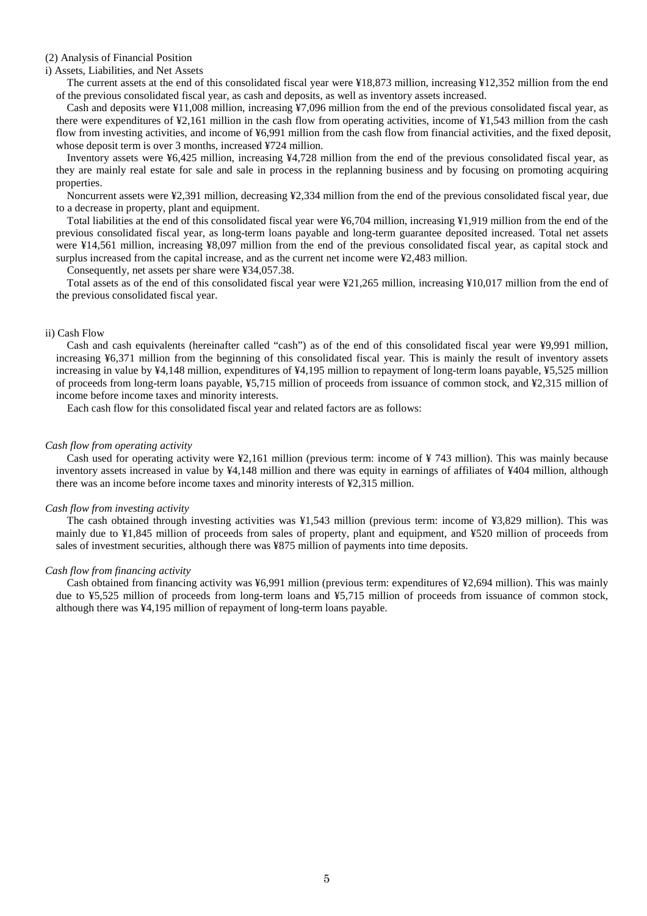#### (2) Analysis of Financial Position

#### i) Assets, Liabilities, and Net Assets

The current assets at the end of this consolidated fiscal year were ¥18,873 million, increasing ¥12,352 million from the end of the previous consolidated fiscal year, as cash and deposits, as well as inventory assets increased.

Cash and deposits were ¥11,008 million, increasing ¥7,096 million from the end of the previous consolidated fiscal year, as there were expenditures of ¥2,161 million in the cash flow from operating activities, income of ¥1,543 million from the cash flow from investing activities, and income of ¥6,991 million from the cash flow from financial activities, and the fixed deposit, whose deposit term is over 3 months, increased ¥724 million.

Inventory assets were ¥6,425 million, increasing ¥4,728 million from the end of the previous consolidated fiscal year, as they are mainly real estate for sale and sale in process in the replanning business and by focusing on promoting acquiring properties.

Noncurrent assets were ¥2,391 million, decreasing ¥2,334 million from the end of the previous consolidated fiscal year, due to a decrease in property, plant and equipment.

Total liabilities at the end of this consolidated fiscal year were ¥6,704 million, increasing ¥1,919 million from the end of the previous consolidated fiscal year, as long-term loans payable and long-term guarantee deposited increased. Total net assets were ¥14,561 million, increasing ¥8,097 million from the end of the previous consolidated fiscal year, as capital stock and surplus increased from the capital increase, and as the current net income were ¥2,483 million.

Consequently, net assets per share were ¥34,057.38.

Total assets as of the end of this consolidated fiscal year were ¥21,265 million, increasing ¥10,017 million from the end of the previous consolidated fiscal year.

#### ii) Cash Flow

Cash and cash equivalents (hereinafter called "cash") as of the end of this consolidated fiscal year were ¥9,991 million, increasing ¥6,371 million from the beginning of this consolidated fiscal year. This is mainly the result of inventory assets increasing in value by ¥4,148 million, expenditures of ¥4,195 million to repayment of long-term loans payable, ¥5,525 million of proceeds from long-term loans payable, ¥5,715 million of proceeds from issuance of common stock, and ¥2,315 million of income before income taxes and minority interests.

Each cash flow for this consolidated fiscal year and related factors are as follows:

### *Cash flow from operating activity*

Cash used for operating activity were ¥2,161 million (previous term: income of ¥ 743 million). This was mainly because inventory assets increased in value by ¥4,148 million and there was equity in earnings of affiliates of ¥404 million, although there was an income before income taxes and minority interests of ¥2,315 million.

#### *Cash flow from investing activity*

The cash obtained through investing activities was ¥1,543 million (previous term: income of ¥3,829 million). This was mainly due to ¥1,845 million of proceeds from sales of property, plant and equipment, and ¥520 million of proceeds from sales of investment securities, although there was ¥875 million of payments into time deposits.

#### *Cash flow from financing activity*

Cash obtained from financing activity was ¥6,991 million (previous term: expenditures of ¥2,694 million). This was mainly due to ¥5,525 million of proceeds from long-term loans and ¥5,715 million of proceeds from issuance of common stock, although there was ¥4,195 million of repayment of long-term loans payable.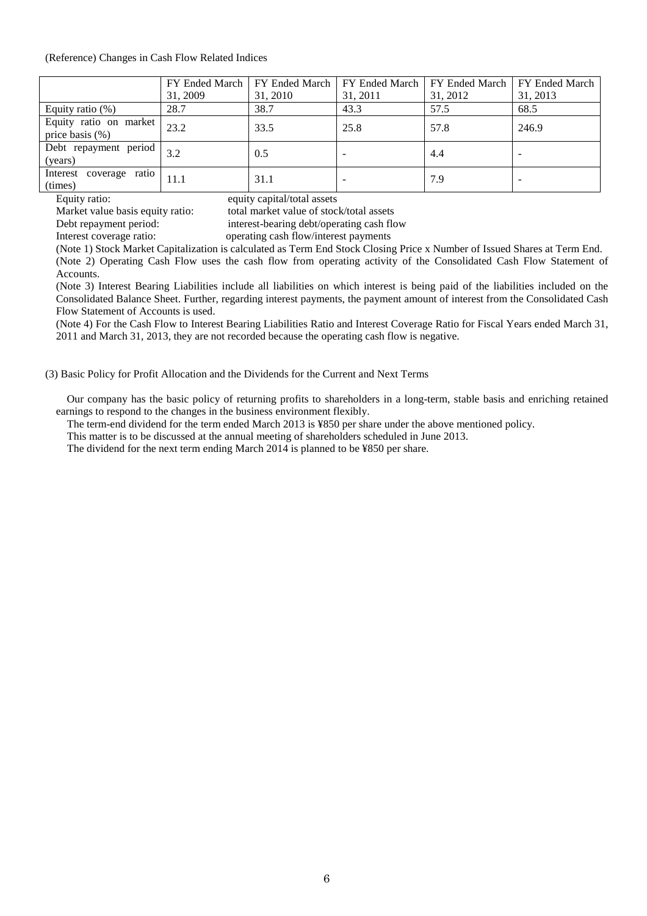#### (Reference) Changes in Cash Flow Related Indices

|                                              |          | FY Ended March   FY Ended March |          | FY Ended March   FY Ended March | FY Ended March |
|----------------------------------------------|----------|---------------------------------|----------|---------------------------------|----------------|
|                                              | 31, 2009 | 31, 2010                        | 31, 2011 | 31, 2012                        | 31, 2013       |
| Equity ratio $(\%)$                          | 28.7     | 38.7                            | 43.3     | 57.5                            | 68.5           |
| Equity ratio on market<br>price basis $(\%)$ | 23.2     | 33.5                            | 25.8     | 57.8                            | 246.9          |
| Debt repayment period<br>(years)             | 3.2      | 0.5                             |          | 4.4                             |                |
| Interest coverage ratio<br>(times)           | 11.1     | 31.1                            |          | 7.9                             |                |

Equity ratio: equity capital/total assets<br>Market value basis equity ratio: total market value of stoc

total market value of stock/total assets

Debt repayment period: interest-bearing debt/operating cash flow

Interest coverage ratio: operating cash flow/interest payments

(Note 1) Stock Market Capitalization is calculated as Term End Stock Closing Price x Number of Issued Shares at Term End.

(Note 2) Operating Cash Flow uses the cash flow from operating activity of the Consolidated Cash Flow Statement of Accounts.

(Note 3) Interest Bearing Liabilities include all liabilities on which interest is being paid of the liabilities included on the Consolidated Balance Sheet. Further, regarding interest payments, the payment amount of interest from the Consolidated Cash Flow Statement of Accounts is used.

(Note 4) For the Cash Flow to Interest Bearing Liabilities Ratio and Interest Coverage Ratio for Fiscal Years ended March 31, 2011 and March 31, 2013, they are not recorded because the operating cash flow is negative.

(3) Basic Policy for Profit Allocation and the Dividends for the Current and Next Terms

Our company has the basic policy of returning profits to shareholders in a long-term, stable basis and enriching retained earnings to respond to the changes in the business environment flexibly.

The term-end dividend for the term ended March 2013 is ¥850 per share under the above mentioned policy.

This matter is to be discussed at the annual meeting of shareholders scheduled in June 2013.

The dividend for the next term ending March 2014 is planned to be ¥850 per share.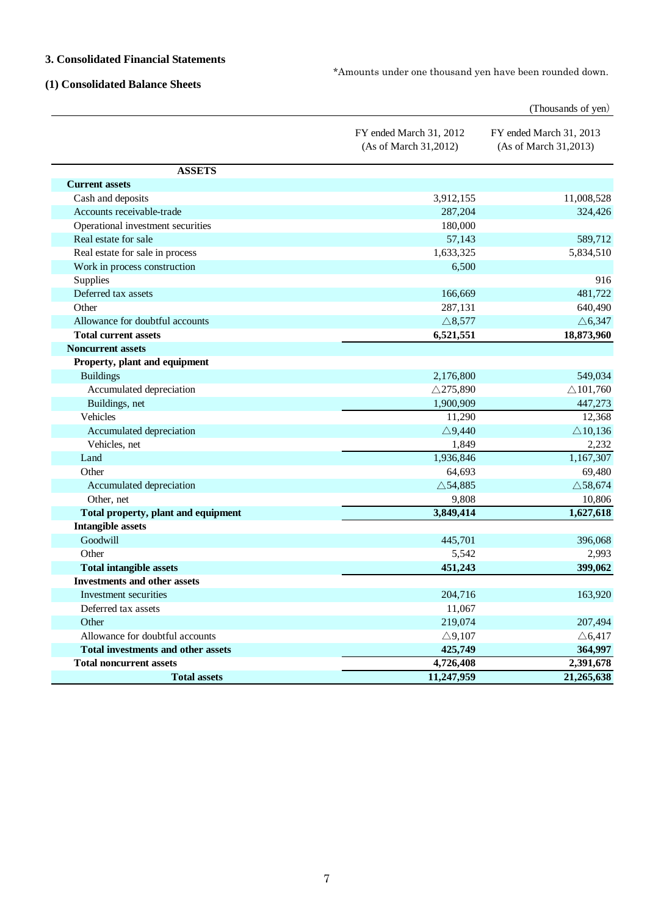## **3. Consolidated Financial Statements**

\*Amounts under one thousand yen have been rounded down.

## **(1) Consolidated Balance Sheets**

|                                           |                                                  | (Thousands of yen)                               |
|-------------------------------------------|--------------------------------------------------|--------------------------------------------------|
|                                           | FY ended March 31, 2012<br>(As of March 31,2012) | FY ended March 31, 2013<br>(As of March 31,2013) |
| <b>ASSETS</b>                             |                                                  |                                                  |
| <b>Current assets</b>                     |                                                  |                                                  |
| Cash and deposits                         | 3,912,155                                        | 11,008,528                                       |
| Accounts receivable-trade                 | 287,204                                          | 324,426                                          |
| Operational investment securities         | 180,000                                          |                                                  |
| Real estate for sale                      | 57,143                                           | 589,712                                          |
| Real estate for sale in process           | 1,633,325                                        | 5,834,510                                        |
| Work in process construction              | 6,500                                            |                                                  |
| Supplies                                  |                                                  | 916                                              |
| Deferred tax assets                       | 166,669                                          | 481,722                                          |
| Other                                     | 287,131                                          | 640,490                                          |
| Allowance for doubtful accounts           | $\triangle$ 8,577                                | $\triangle 6,347$                                |
| <b>Total current assets</b>               | 6,521,551                                        | 18,873,960                                       |
| <b>Noncurrent assets</b>                  |                                                  |                                                  |
| Property, plant and equipment             |                                                  |                                                  |
| <b>Buildings</b>                          | 2,176,800                                        | 549,034                                          |
| Accumulated depreciation                  | $\triangle$ 275,890                              | $\triangle$ 101,760                              |
| Buildings, net                            | 1,900,909                                        | 447,273                                          |
| Vehicles                                  | 11,290                                           | 12,368                                           |
| Accumulated depreciation                  | $\triangle$ 9,440                                | $\triangle$ 10,136                               |
| Vehicles, net                             | 1,849                                            | 2,232                                            |
| Land                                      | 1,936,846                                        | 1,167,307                                        |
| Other                                     | 64,693                                           | 69,480                                           |
| Accumulated depreciation                  | $\triangle$ 54,885                               | $\triangle$ 58,674                               |
| Other, net                                | 9,808                                            | 10,806                                           |
| Total property, plant and equipment       | 3,849,414                                        | 1,627,618                                        |
| <b>Intangible assets</b>                  |                                                  |                                                  |
| Goodwill                                  | 445,701                                          | 396,068                                          |
| Other                                     | 5,542                                            | 2,993                                            |
| <b>Total intangible assets</b>            | 451,243                                          | 399,062                                          |
| <b>Investments and other assets</b>       |                                                  |                                                  |
| Investment securities                     | 204,716                                          | 163,920                                          |
| Deferred tax assets                       | 11,067                                           |                                                  |
| Other                                     | 219,074                                          | 207,494                                          |
| Allowance for doubtful accounts           | $\triangle$ 9,107                                | $\triangle 6,417$                                |
| <b>Total investments and other assets</b> | 425,749                                          | 364,997                                          |
| <b>Total noncurrent assets</b>            | 4,726,408                                        | 2,391,678                                        |
| <b>Total assets</b>                       | 11,247,959                                       | 21,265,638                                       |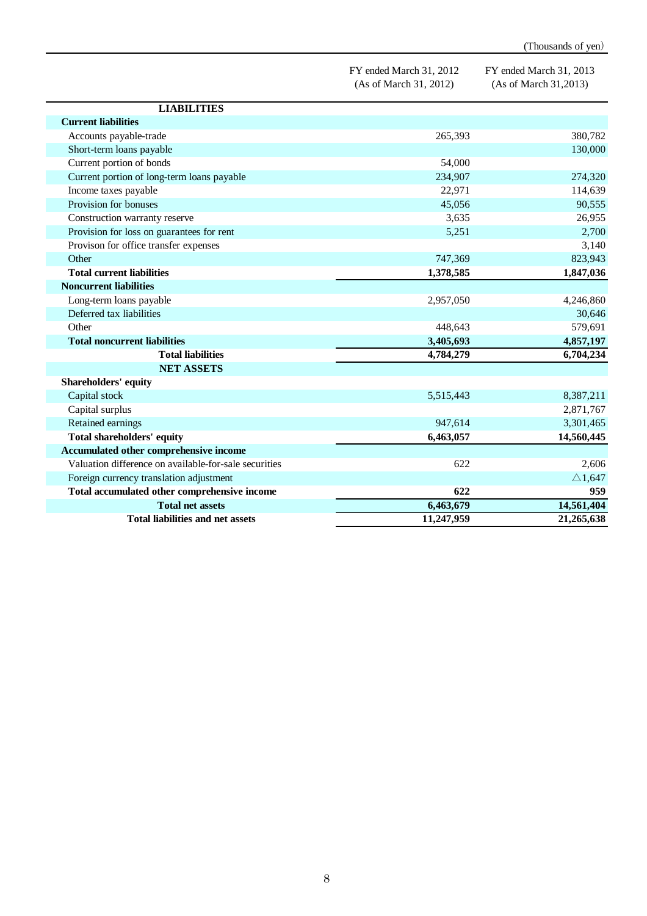|                                                       |                                                   | (Thousands of yen)                               |
|-------------------------------------------------------|---------------------------------------------------|--------------------------------------------------|
|                                                       | FY ended March 31, 2012<br>(As of March 31, 2012) | FY ended March 31, 2013<br>(As of March 31,2013) |
| <b>LIABILITIES</b>                                    |                                                   |                                                  |
| <b>Current liabilities</b>                            |                                                   |                                                  |
| Accounts payable-trade                                | 265,393                                           | 380,782                                          |
| Short-term loans payable                              |                                                   | 130,000                                          |
| Current portion of bonds                              | 54,000                                            |                                                  |
| Current portion of long-term loans payable            | 234,907                                           | 274,320                                          |
| Income taxes payable                                  | 22,971                                            | 114,639                                          |
| Provision for bonuses                                 | 45,056                                            | 90,555                                           |
| Construction warranty reserve                         | 3,635                                             | 26,955                                           |
| Provision for loss on guarantees for rent             | 5,251                                             | 2,700                                            |
| Provison for office transfer expenses                 |                                                   | 3,140                                            |
| Other                                                 | 747,369                                           | 823,943                                          |
| <b>Total current liabilities</b>                      | 1,378,585                                         | 1,847,036                                        |
| <b>Noncurrent liabilities</b>                         |                                                   |                                                  |
| Long-term loans payable                               | 2,957,050                                         | 4,246,860                                        |
| Deferred tax liabilities                              |                                                   | 30,646                                           |
| Other                                                 | 448,643                                           | 579,691                                          |
| <b>Total noncurrent liabilities</b>                   | 3,405,693                                         | 4,857,197                                        |
| <b>Total liabilities</b>                              | 4,784,279                                         | 6,704,234                                        |
| <b>NET ASSETS</b>                                     |                                                   |                                                  |
| Shareholders' equity                                  |                                                   |                                                  |
| Capital stock                                         | 5,515,443                                         | 8,387,211                                        |
| Capital surplus                                       |                                                   | 2,871,767                                        |
| Retained earnings                                     | 947,614                                           | 3,301,465                                        |
| Total shareholders' equity                            | 6,463,057                                         | 14,560,445                                       |
| Accumulated other comprehensive income                |                                                   |                                                  |
| Valuation difference on available-for-sale securities | 622                                               | 2,606                                            |
| Foreign currency translation adjustment               |                                                   | $\triangle$ 1,647                                |
| Total accumulated other comprehensive income          | 622                                               | 959                                              |
| <b>Total net assets</b>                               | 6,463,679                                         | 14,561,404                                       |
| <b>Total liabilities and net assets</b>               | 11,247,959                                        | 21,265,638                                       |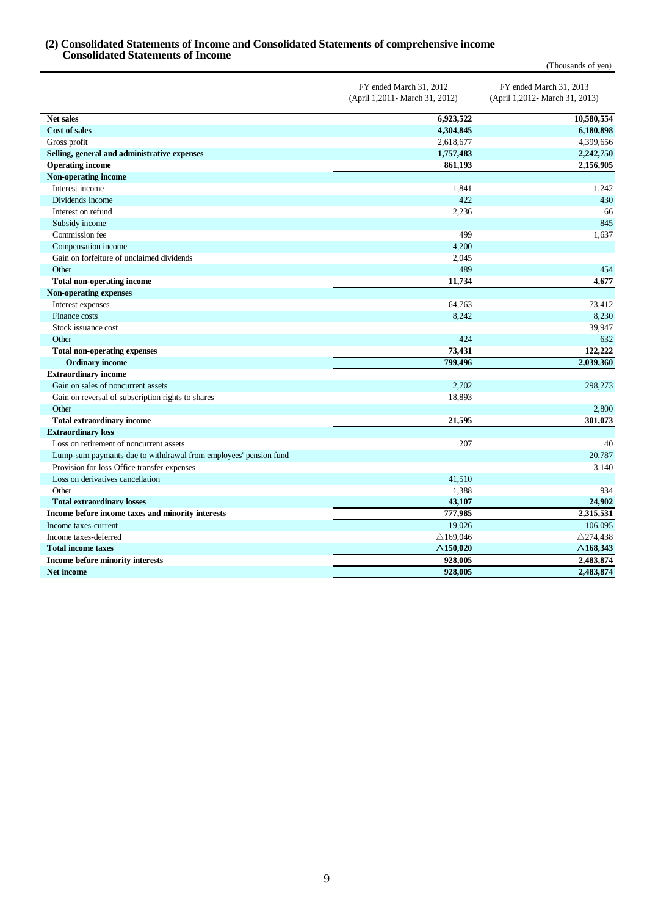## **(2) Consolidated Statements of Income and Consolidated Statements of comprehensive income Consolidated Statements of Income**

|                                                                  |                                                            | (Thousands of yen)                                        |
|------------------------------------------------------------------|------------------------------------------------------------|-----------------------------------------------------------|
|                                                                  | FY ended March 31, 2012<br>(April 1,2011 - March 31, 2012) | FY ended March 31, 2013<br>(April 1,2012- March 31, 2013) |
| Net sales                                                        | 6,923,522                                                  | 10,580,554                                                |
| <b>Cost of sales</b>                                             | 4,304,845                                                  | 6,180,898                                                 |
| Gross profit                                                     | 2,618,677                                                  | 4,399,656                                                 |
| Selling, general and administrative expenses                     | 1,757,483                                                  | 2,242,750                                                 |
| <b>Operating income</b>                                          | 861,193                                                    | 2,156,905                                                 |
| Non-operating income                                             |                                                            |                                                           |
| Interest income                                                  | 1,841                                                      | 1,242                                                     |
| Dividends income                                                 | 422                                                        | 430                                                       |
| Interest on refund                                               | 2,236                                                      | 66                                                        |
| Subsidy income                                                   |                                                            | 845                                                       |
| Commission fee                                                   | 499                                                        | 1,637                                                     |
| Compensation income                                              | 4,200                                                      |                                                           |
| Gain on forfeiture of unclaimed dividends                        | 2,045                                                      |                                                           |
| Other                                                            | 489                                                        | 454                                                       |
| <b>Total non-operating income</b>                                | 11,734                                                     | 4,677                                                     |
| <b>Non-operating expenses</b>                                    |                                                            |                                                           |
| Interest expenses                                                | 64,763                                                     | 73,412                                                    |
| Finance costs                                                    | 8,242                                                      | 8,230                                                     |
| Stock issuance cost                                              |                                                            | 39,947                                                    |
| Other                                                            | 424                                                        | 632                                                       |
| <b>Total non-operating expenses</b>                              | 73,431                                                     | 122,222                                                   |
| <b>Ordinary income</b>                                           | 799,496                                                    | 2,039,360                                                 |
| <b>Extraordinary income</b>                                      |                                                            |                                                           |
| Gain on sales of noncurrent assets                               | 2,702                                                      | 298,273                                                   |
| Gain on reversal of subscription rights to shares                | 18,893                                                     |                                                           |
| Other                                                            |                                                            | 2,800                                                     |
| <b>Total extraordinary income</b>                                | 21,595                                                     | 301,073                                                   |
| <b>Extraordinary loss</b>                                        |                                                            |                                                           |
| Loss on retirement of noncurrent assets                          | 207                                                        | 40                                                        |
| Lump-sum paymants due to withdrawal from employees' pension fund |                                                            | 20,787                                                    |
| Provision for loss Office transfer expenses                      |                                                            | 3,140                                                     |
| Loss on derivatives cancellation                                 | 41,510                                                     |                                                           |
| Other                                                            | 1,388                                                      | 934                                                       |
| <b>Total extraordinary losses</b>                                | 43,107                                                     | 24,902                                                    |
| Income before income taxes and minority interests                | 777,985                                                    | 2,315,531                                                 |
| Income taxes-current                                             | 19,026                                                     | 106,095                                                   |
| Income taxes-deferred                                            | $\triangle$ 169,046                                        | $\triangle$ 274,438                                       |
| <b>Total income taxes</b>                                        | $\triangle$ 150,020                                        | $\triangle$ 168,343                                       |
| Income before minority interests                                 | 928,005                                                    | 2,483,874                                                 |
| Net income                                                       | 928,005                                                    | 2,483,874                                                 |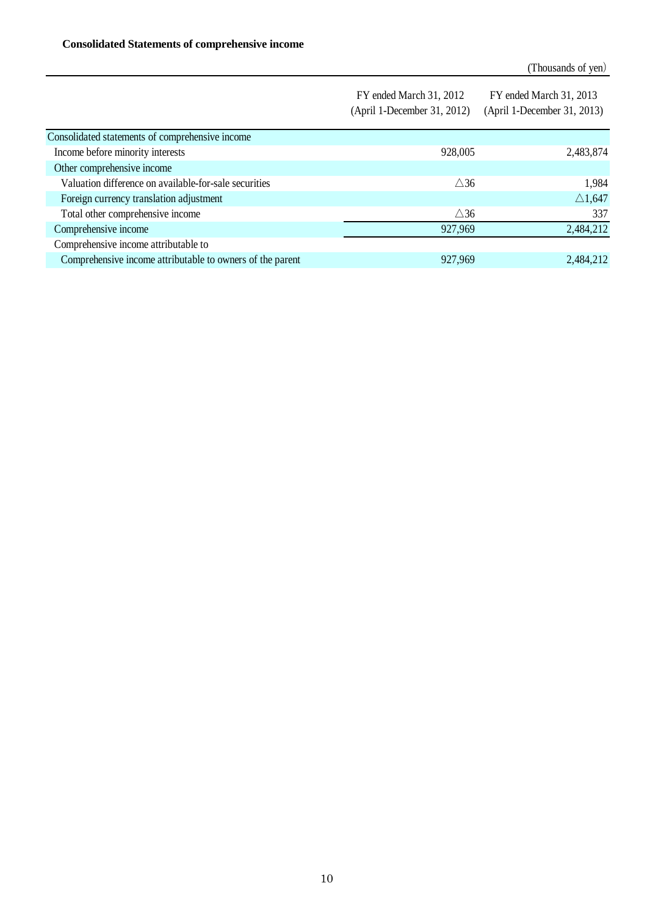|                                                           | FY ended March 31, 2012<br>(April 1-December 31, 2012) | FY ended March 31, 2013<br>(April 1-December 31, 2013) |
|-----------------------------------------------------------|--------------------------------------------------------|--------------------------------------------------------|
|                                                           |                                                        |                                                        |
| Consolidated statements of comprehensive income           |                                                        |                                                        |
| Income before minority interests                          | 928,005                                                | 2,483,874                                              |
| Other comprehensive income                                |                                                        |                                                        |
| Valuation difference on available-for-sale securities     | $\triangle$ 36                                         | 1,984                                                  |
| Foreign currency translation adjustment                   |                                                        | $\triangle$ 1,647                                      |
| Total other comprehensive income                          | $\triangle 36$                                         | 337                                                    |
| Comprehensive income                                      | 927,969                                                | 2,484,212                                              |
| Comprehensive income attributable to                      |                                                        |                                                        |
| Comprehensive income attributable to owners of the parent | 927,969                                                | 2,484,212                                              |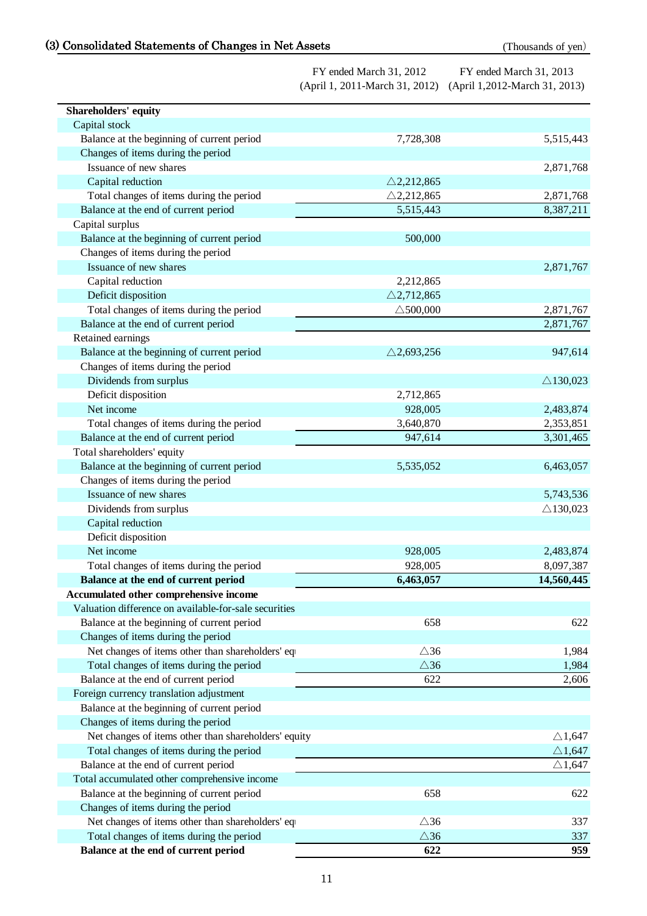# (3) Consolidated Statements of Changes in Net Assets (Thousands of yen)

| Shareholders' equity                                  |                       |                     |
|-------------------------------------------------------|-----------------------|---------------------|
| Capital stock                                         |                       |                     |
| Balance at the beginning of current period            | 7,728,308             | 5,515,443           |
| Changes of items during the period                    |                       |                     |
| Issuance of new shares                                |                       | 2,871,768           |
| Capital reduction                                     | $\triangle$ 2,212,865 |                     |
| Total changes of items during the period              | $\triangle$ 2,212,865 | 2,871,768           |
| Balance at the end of current period                  | 5,515,443             | 8,387,211           |
| Capital surplus                                       |                       |                     |
| Balance at the beginning of current period            | 500,000               |                     |
| Changes of items during the period                    |                       |                     |
| Issuance of new shares                                |                       | 2,871,767           |
| Capital reduction                                     | 2,212,865             |                     |
| Deficit disposition                                   | $\triangle$ 2,712,865 |                     |
| Total changes of items during the period              | $\triangle$ 500,000   | 2,871,767           |
| Balance at the end of current period                  |                       | 2,871,767           |
| Retained earnings                                     |                       |                     |
| Balance at the beginning of current period            | $\triangle$ 2,693,256 | 947,614             |
| Changes of items during the period                    |                       |                     |
| Dividends from surplus                                |                       | $\triangle$ 130,023 |
| Deficit disposition                                   | 2,712,865             |                     |
| Net income                                            | 928,005               | 2,483,874           |
| Total changes of items during the period              | 3,640,870             | 2,353,851           |
| Balance at the end of current period                  | 947,614               | 3,301,465           |
| Total shareholders' equity                            |                       |                     |
| Balance at the beginning of current period            | 5,535,052             | 6,463,057           |
| Changes of items during the period                    |                       |                     |
| Issuance of new shares                                |                       | 5,743,536           |
| Dividends from surplus                                |                       | $\triangle$ 130,023 |
| Capital reduction                                     |                       |                     |
| Deficit disposition                                   |                       |                     |
| Net income                                            | 928,005               | 2,483,874           |
| Total changes of items during the period              | 928,005               | 8,097,387           |
| Balance at the end of current period                  | 6,463,057             | 14,560,445          |
| Accumulated other comprehensive income                |                       |                     |
| Valuation difference on available-for-sale securities |                       |                     |
| Balance at the beginning of current period            | 658                   | 622                 |
| Changes of items during the period                    |                       |                     |
| Net changes of items other than shareholders' eq      | $\triangle$ 36        | 1,984               |
| Total changes of items during the period              | $\triangle 36$        | 1,984               |
| Balance at the end of current period                  | 622                   | 2,606               |
| Foreign currency translation adjustment               |                       |                     |
| Balance at the beginning of current period            |                       |                     |
| Changes of items during the period                    |                       |                     |
| Net changes of items other than shareholders' equity  |                       | $\triangle$ 1,647   |
| Total changes of items during the period              |                       | $\triangle$ 1,647   |
| Balance at the end of current period                  |                       | $\triangle$ 1,647   |
| Total accumulated other comprehensive income          |                       |                     |
| Balance at the beginning of current period            | 658                   | 622                 |
| Changes of items during the period                    |                       |                     |
| Net changes of items other than shareholders' eq      | $\triangle 36$        | 337                 |
| Total changes of items during the period              | $\triangle 36$        | 337                 |
| Balance at the end of current period                  | 622                   | 959                 |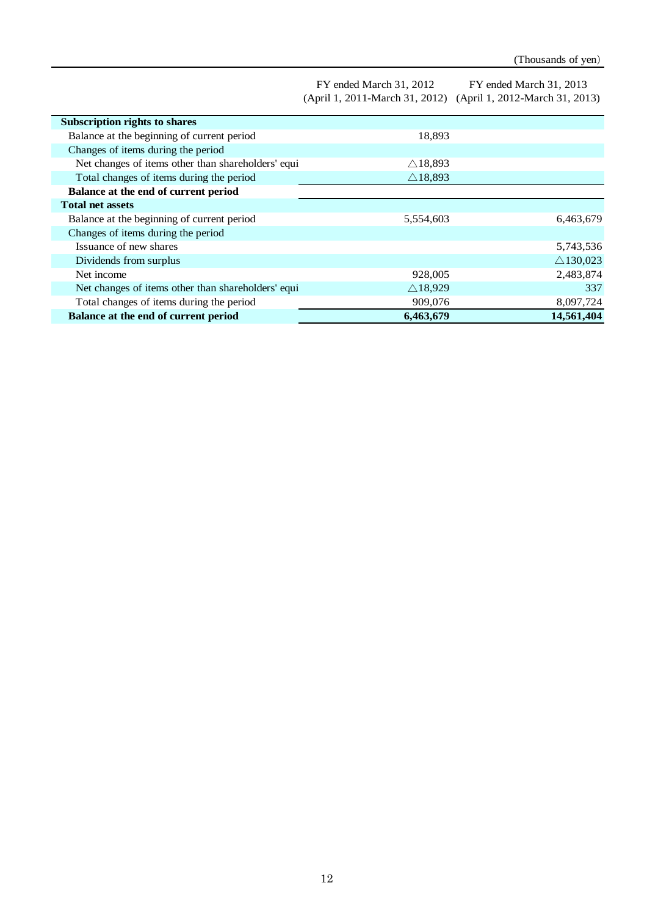| FY ended March 31, 2012 | FY ended March 31, 2013                                       |
|-------------------------|---------------------------------------------------------------|
|                         | (April 1, 2011-March 31, 2012) (April 1, 2012-March 31, 2013) |

| <b>Subscription rights to shares</b>               |                    |                     |
|----------------------------------------------------|--------------------|---------------------|
| Balance at the beginning of current period         | 18,893             |                     |
| Changes of items during the period                 |                    |                     |
| Net changes of items other than shareholders' equi | $\triangle$ 18,893 |                     |
| Total changes of items during the period           | $\triangle$ 18,893 |                     |
| Balance at the end of current period               |                    |                     |
| <b>Total net assets</b>                            |                    |                     |
| Balance at the beginning of current period         | 5,554,603          | 6,463,679           |
| Changes of items during the period                 |                    |                     |
| Issuance of new shares                             |                    | 5,743,536           |
| Dividends from surplus                             |                    | $\triangle$ 130,023 |
| Net income                                         | 928,005            | 2,483,874           |
| Net changes of items other than shareholders' equi | $\triangle$ 18,929 | 337                 |
| Total changes of items during the period           | 909,076            | 8,097,724           |
| Balance at the end of current period               | 6,463,679          | 14,561,404          |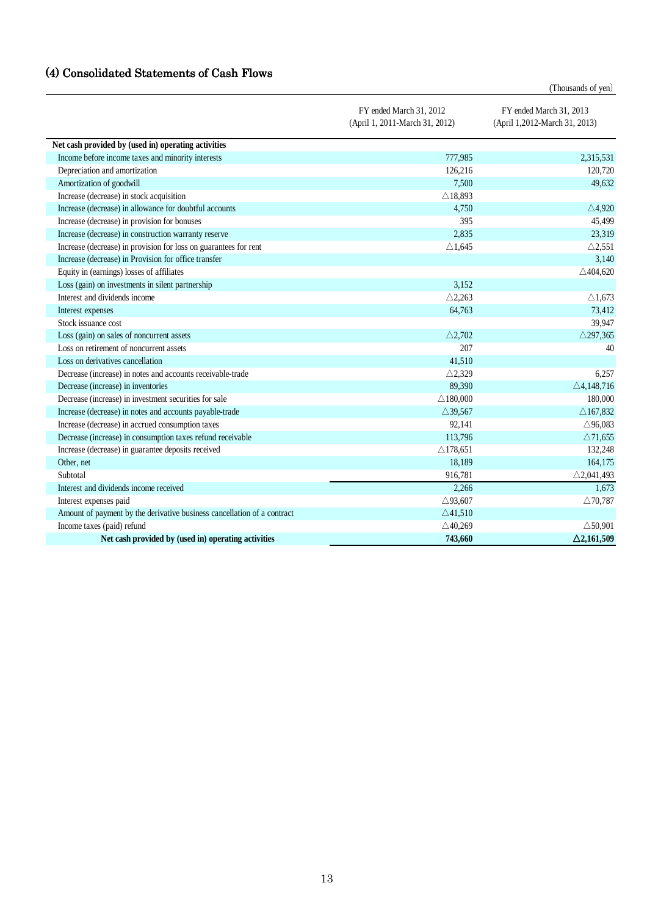# (4) Consolidated Statements of Cash Flows

(Thousands of yen)

|                                                                         | FY ended March 31, 2012<br>(April 1, 2011-March 31, 2012) | FY ended March 31, 2013<br>(April 1,2012-March 31, 2013) |
|-------------------------------------------------------------------------|-----------------------------------------------------------|----------------------------------------------------------|
| Net cash provided by (used in) operating activities                     |                                                           |                                                          |
| Income before income taxes and minority interests                       | 777,985                                                   | 2,315,531                                                |
| Depreciation and amortization                                           | 126,216                                                   | 120,720                                                  |
| Amortization of goodwill                                                | 7,500                                                     | 49,632                                                   |
| Increase (decrease) in stock acquisition                                | $\triangle$ 18,893                                        |                                                          |
| Increase (decrease) in allowance for doubtful accounts                  | 4,750                                                     | $\triangle$ 4,920                                        |
| Increase (decrease) in provision for bonuses                            | 395                                                       | 45,499                                                   |
| Increase (decrease) in construction warranty reserve                    | 2,835                                                     | 23,319                                                   |
| Increase (decrease) in provision for loss on guarantees for rent        | $\triangle$ 1,645                                         | $\triangle$ 2,551                                        |
| Increase (decrease) in Provision for office transfer                    |                                                           | 3,140                                                    |
| Equity in (earnings) losses of affiliates                               |                                                           | $\triangle$ 404,620                                      |
| Loss (gain) on investments in silent partnership                        | 3,152                                                     |                                                          |
| Interest and dividends income                                           | $\triangle$ 2,263                                         | $\triangle$ 1,673                                        |
| Interest expenses                                                       | 64,763                                                    | 73,412                                                   |
| Stock issuance cost                                                     |                                                           | 39,947                                                   |
| Loss (gain) on sales of noncurrent assets                               | $\triangle$ 2.702                                         | $\triangle$ 297,365                                      |
| Loss on retirement of noncurrent assets                                 | 207                                                       | 40                                                       |
| Loss on derivatives cancellation                                        | 41,510                                                    |                                                          |
| Decrease (increase) in notes and accounts receivable-trade              | $\triangle$ 2,329                                         | 6,257                                                    |
| Decrease (increase) in inventories                                      | 89,390                                                    | $\triangle$ 4,148,716                                    |
| Decrease (increase) in investment securities for sale                   | $\triangle$ 180,000                                       | 180,000                                                  |
| Increase (decrease) in notes and accounts payable-trade                 | $\triangle$ 39,567                                        | $\triangle$ 167,832                                      |
| Increase (decrease) in accrued consumption taxes                        | 92,141                                                    | $\triangle$ 96,083                                       |
| Decrease (increase) in consumption taxes refund receivable              | 113,796                                                   | $\triangle$ 71,655                                       |
| Increase (decrease) in guarantee deposits received                      | $\triangle$ 178,651                                       | 132,248                                                  |
| Other, net                                                              | 18,189                                                    | 164,175                                                  |
| Subtotal                                                                | 916,781                                                   | $\triangle$ 2,041,493                                    |
| Interest and dividends income received                                  | 2,266                                                     | 1,673                                                    |
| Interest expenses paid                                                  | $\triangle$ 93,607                                        | $\triangle$ 70,787                                       |
| Amount of payment by the derivative business cancellation of a contract | $\triangle$ 41,510                                        |                                                          |
| Income taxes (paid) refund                                              | $\triangle$ 40,269                                        | $\triangle$ 50.901                                       |
| Net cash provided by (used in) operating activities                     | 743,660                                                   | $\triangle$ 2,161,509                                    |